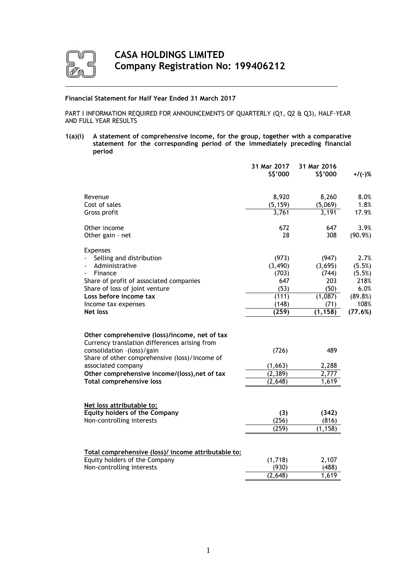

# **Financial Statement for Half Year Ended 31 March 2017**

PART I INFORMATION REQUIRED FOR ANNOUNCEMENTS OF QUARTERLY (Q1, Q2 & Q3), HALF-YEAR AND FULL YEAR RESULTS

**1(a)(i) A statement of comprehensive income, for the group, together with a comparative statement for the corresponding period of the immediately preceding financial period**

|                                                                                                                              | 31 Mar 2017<br>S\$'000 | 31 Mar 2016<br>\$\$'000 | $+$ /(-)%        |
|------------------------------------------------------------------------------------------------------------------------------|------------------------|-------------------------|------------------|
| Revenue                                                                                                                      | 8,920                  | 8,260                   | 8.0%             |
| Cost of sales                                                                                                                | (5, 159)               | (5,069)                 | 1.8%             |
| Gross profit                                                                                                                 | 3,761                  | 3,191                   | 17.9%            |
| Other income                                                                                                                 | 672                    | 647                     | 3.9%             |
| Other gain - net                                                                                                             | 28                     | 308                     | $(90.9\%)$       |
| <b>Expenses</b>                                                                                                              |                        |                         |                  |
| Selling and distribution<br>Administrative                                                                                   | (973)<br>(3, 490)      | (947)<br>(3,695)        | 2.7%             |
| Finance                                                                                                                      | (703)                  | (744)                   | (5.5%)<br>(5.5%) |
| Share of profit of associated companies                                                                                      | 647                    | 203                     | 218%             |
| Share of loss of joint venture                                                                                               | (53)                   | (50)                    | 6.0%             |
| Loss before income tax                                                                                                       | (111)                  | (1,087)                 | (89.8%)          |
| Income tax expenses                                                                                                          | (148)                  | (71)                    | 108%             |
| Net loss                                                                                                                     | (259)                  | (1, 158)                | (77.6%)          |
| Other comprehensive (loss)/income, net of tax<br>Currency translation differences arising from<br>consolidation -(loss)/gain | (726)                  | 489                     |                  |
| Share of other comprehensive (loss)/income of                                                                                |                        |                         |                  |
| associated company                                                                                                           | (1,663)                | 2,288                   |                  |
| Other comprehensive income/(loss), net of tax                                                                                | (2, 389)               | 2,777                   |                  |
| <b>Total comprehensive loss</b>                                                                                              | (2,648)                | 1,619                   |                  |
| Net loss attributable to:                                                                                                    |                        |                         |                  |
| <b>Equity holders of the Company</b>                                                                                         | (3)                    | (342)                   |                  |
| Non-controlling interests                                                                                                    | (256)                  | (816)                   |                  |
|                                                                                                                              | (259)                  | (1, 158)                |                  |
|                                                                                                                              |                        |                         |                  |
| Total comprehensive (loss)/ income attributable to:                                                                          |                        |                         |                  |
| Equity holders of the Company                                                                                                | (1,718)                | 2,107                   |                  |
| Non-controlling interests                                                                                                    | (930)                  | (488)                   |                  |
|                                                                                                                              | (2,648)                | 1,619                   |                  |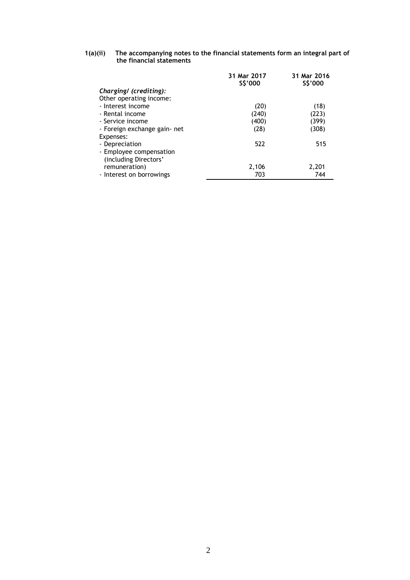#### **1(a)(ii) The accompanying notes to the financial statements form an integral part of the financial statements**

|                              | 31 Mar 2017<br>\$\$'000 | 31 Mar 2016<br>\$\$'000 |
|------------------------------|-------------------------|-------------------------|
| Charging/ (crediting):       |                         |                         |
| Other operating income:      |                         |                         |
| - Interest income            | (20)                    | (18)                    |
| - Rental income              | (240)                   | (223)                   |
| - Service income             | (400)                   | (399)                   |
| - Foreign exchange gain- net | (28)                    | (308)                   |
| Expenses:                    |                         |                         |
| - Depreciation               | 522                     | 515                     |
| - Employee compensation      |                         |                         |
| (including Directors'        |                         |                         |
| remuneration)                | 2,106                   | 2,201                   |
| - Interest on borrowings     | 703                     | 744                     |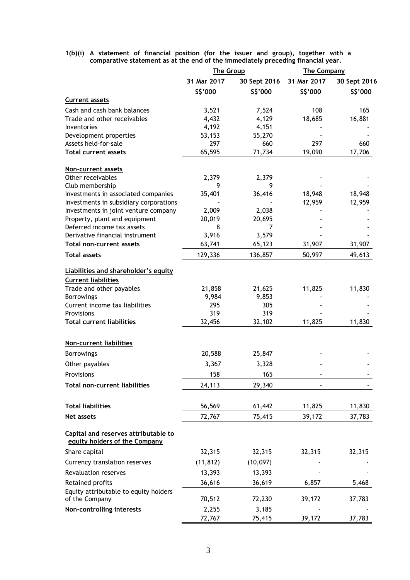## **1(b)(i) A statement of financial position (for the issuer and group), together with a comparative statement as at the end of the immediately preceding financial year.**

|                                                                       | <b>The Group</b> |              | <b>The Company</b> |              |
|-----------------------------------------------------------------------|------------------|--------------|--------------------|--------------|
|                                                                       | 31 Mar 2017      | 30 Sept 2016 | 31 Mar 2017        | 30 Sept 2016 |
|                                                                       | \$\$'000         | S\$'000      | \$\$'000           | S\$'000      |
| <b>Current assets</b>                                                 |                  |              |                    |              |
| Cash and cash bank balances                                           | 3,521            | 7,524        | 108                | 165          |
| Trade and other receivables                                           | 4,432            | 4,129        | 18,685             | 16,881       |
| Inventories                                                           | 4,192            | 4,151        |                    |              |
| Development properties                                                | 53,153           | 55,270       |                    |              |
| Assets held-for-sale                                                  | 297              | 660          | 297                | 660          |
| <b>Total current assets</b>                                           | 65,595           | 71,734       | 19,090             | 17,706       |
| <b>Non-current assets</b>                                             |                  |              |                    |              |
| Other receivables                                                     | 2,379            | 2,379        |                    |              |
| Club membership                                                       | 9                | 9            |                    |              |
| Investments in associated companies                                   | 35,401           | 36,416       | 18,948             | 18,948       |
| Investments in subsidiary corporations                                |                  |              | 12,959             | 12,959       |
| Investments in joint venture company                                  | 2,009            | 2,038        |                    |              |
| Property, plant and equipment                                         | 20,019           | 20,695       |                    |              |
| Deferred income tax assets                                            | 8                | 7            |                    |              |
| Derivative financial instrument                                       | 3,916            | 3,579        |                    |              |
| Total non-current assets                                              | 63,741           | 65,123       | 31,907             | 31,907       |
| <b>Total assets</b>                                                   | 129,336          | 136,857      | 50,997             | 49,613       |
| Liabilities and shareholder's equity                                  |                  |              |                    |              |
| <b>Current liabilities</b>                                            |                  |              |                    |              |
| Trade and other payables                                              | 21,858           | 21,625       | 11,825             | 11,830       |
| <b>Borrowings</b>                                                     | 9,984            | 9,853        |                    |              |
| Current income tax liabilities                                        | 295              | 305          |                    |              |
| Provisions                                                            | 319              | 319          |                    |              |
| <b>Total current liabilities</b>                                      | 32,456           | 32,102       | 11,825             | 11,830       |
|                                                                       |                  |              |                    |              |
| Non-current liabilities                                               |                  |              |                    |              |
| <b>Borrowings</b>                                                     | 20,588           | 25,847       |                    |              |
| Other payables                                                        | 3,367            | 3,328        |                    |              |
| Provisions                                                            | 158              | 165          |                    |              |
| <b>Total non-current liabilities</b>                                  | 24,113           | 29,340       |                    |              |
|                                                                       |                  |              |                    |              |
| <b>Total liabilities</b>                                              | 56,569           | 61,442       | 11,825             | 11,830       |
| Net assets                                                            | 72,767           | 75,415       | 39,172             | 37,783       |
| Capital and reserves attributable to<br>equity holders of the Company |                  |              |                    |              |
| Share capital                                                         | 32,315           | 32,315       | 32,315             | 32,315       |
| Currency translation reserves                                         | (11, 812)        | (10,097)     |                    |              |
| Revaluation reserves                                                  | 13,393           | 13,393       |                    |              |
| Retained profits                                                      | 36,616           | 36,619       | 6,857              | 5,468        |
| Equity attributable to equity holders                                 |                  |              |                    |              |
| of the Company                                                        | 70,512           | 72,230       | 39,172             | 37,783       |
| Non-controlling interests                                             | 2,255            | 3,185        |                    |              |
|                                                                       | 72,767           | 75,415       | 39,172             | 37,783       |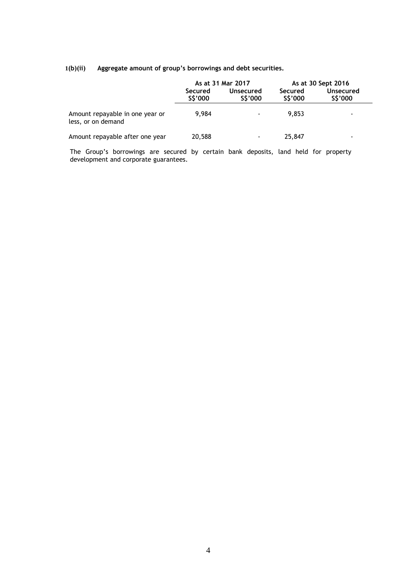# **1(b)(ii) Aggregate amount of group's borrowings and debt securities.**

|                                                       |                    | As at 31 Mar 2017        |                    | As at 30 Sept 2016       |
|-------------------------------------------------------|--------------------|--------------------------|--------------------|--------------------------|
|                                                       | Secured<br>S\$'000 | Unsecured<br>S\$'000     | Secured<br>S\$'000 | Unsecured<br>S\$'000     |
| Amount repayable in one year or<br>less, or on demand | 9.984              | $\blacksquare$           | 9.853              | $\sim$                   |
| Amount repayable after one year                       | 20,588             | $\overline{\phantom{a}}$ | 25,847             | $\overline{\phantom{0}}$ |

The Group's borrowings are secured by certain bank deposits, land held for property development and corporate guarantees.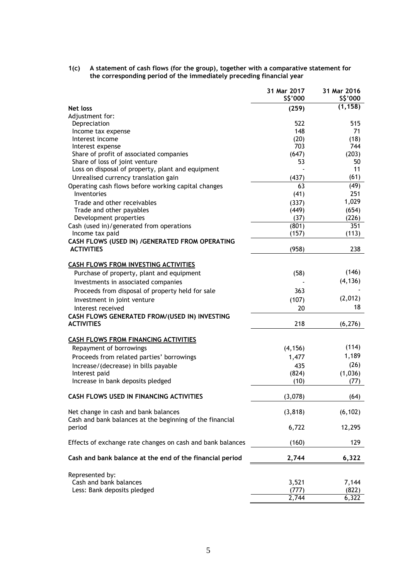**1(c) A statement of cash flows (for the group), together with a comparative statement for the corresponding period of the immediately preceding financial year**

| (1, 158)<br>Net loss<br>(259)<br>Adjustment for:<br>522<br>Depreciation<br>515<br>148<br>71<br>Income tax expense<br>(20)<br>(18)<br>Interest income<br>703<br>744<br>Interest expense<br>Share of profit of associated companies<br>(647)<br>(203)<br>Share of loss of joint venture<br>53<br>50<br>11<br>Loss on disposal of property, plant and equipment<br>(61)<br>(437)<br>Unrealised currency translation gain<br>$\overline{(49)}$<br>Operating cash flows before working capital changes<br>63<br>251<br>Inventories<br>(41)<br>1,029<br>Trade and other receivables<br>(337)<br>(654)<br>Trade and other payables<br>(449)<br>(226)<br>Development properties<br>(37)<br>351<br>Cash (used in)/generated from operations<br>(801)<br>(113)<br>Income tax paid<br>(157)<br>CASH FLOWS (USED IN) /GENERATED FROM OPERATING<br><b>ACTIVITIES</b><br>(958)<br>238<br><b>CASH FLOWS FROM INVESTING ACTIVITIES</b><br>(146)<br>Purchase of property, plant and equipment<br>(58)<br>(4, 136)<br>Investments in associated companies<br>Proceeds from disposal of property held for sale<br>363<br>(2,012)<br>(107)<br>Investment in joint venture<br>18<br>20<br>Interest received<br>CASH FLOWS GENERATED FROM/(USED IN) INVESTING<br>218<br><b>ACTIVITIES</b><br>(6, 276)<br><b>CASH FLOWS FROM FINANCING ACTIVITIES</b><br>(114)<br>Repayment of borrowings<br>(4, 156)<br>1,189<br>Proceeds from related parties' borrowings<br>1,477<br>(26)<br>Increase/(decrease) in bills payable<br>435<br>Interest paid<br>(824)<br>(1,036)<br>Increase in bank deposits pledged<br>(10)<br>(77)<br>CASH FLOWS USED IN FINANCING ACTIVITIES<br>(3,078)<br>(64)<br>(3, 818)<br>(6, 102)<br>Net change in cash and bank balances<br>Cash and bank balances at the beginning of the financial<br>6,722<br>12,295<br>period<br>Effects of exchange rate changes on cash and bank balances<br>(160)<br>129<br>Cash and bank balance at the end of the financial period<br>2,744<br>6,322<br>Represented by:<br>Cash and bank balances<br>3,521<br>7,144<br>Less: Bank deposits pledged<br>(822)<br>(777)<br>2,744<br>6,322 | 31 Mar 2017<br>\$\$'000 | 31 Mar 2016<br>S\$'000 |
|---------------------------------------------------------------------------------------------------------------------------------------------------------------------------------------------------------------------------------------------------------------------------------------------------------------------------------------------------------------------------------------------------------------------------------------------------------------------------------------------------------------------------------------------------------------------------------------------------------------------------------------------------------------------------------------------------------------------------------------------------------------------------------------------------------------------------------------------------------------------------------------------------------------------------------------------------------------------------------------------------------------------------------------------------------------------------------------------------------------------------------------------------------------------------------------------------------------------------------------------------------------------------------------------------------------------------------------------------------------------------------------------------------------------------------------------------------------------------------------------------------------------------------------------------------------------------------------------------------------------------------------------------------------------------------------------------------------------------------------------------------------------------------------------------------------------------------------------------------------------------------------------------------------------------------------------------------------------------------------------------------------------------------------------------------------------------------------------------------------------|-------------------------|------------------------|
|                                                                                                                                                                                                                                                                                                                                                                                                                                                                                                                                                                                                                                                                                                                                                                                                                                                                                                                                                                                                                                                                                                                                                                                                                                                                                                                                                                                                                                                                                                                                                                                                                                                                                                                                                                                                                                                                                                                                                                                                                                                                                                                     |                         |                        |
|                                                                                                                                                                                                                                                                                                                                                                                                                                                                                                                                                                                                                                                                                                                                                                                                                                                                                                                                                                                                                                                                                                                                                                                                                                                                                                                                                                                                                                                                                                                                                                                                                                                                                                                                                                                                                                                                                                                                                                                                                                                                                                                     |                         |                        |
|                                                                                                                                                                                                                                                                                                                                                                                                                                                                                                                                                                                                                                                                                                                                                                                                                                                                                                                                                                                                                                                                                                                                                                                                                                                                                                                                                                                                                                                                                                                                                                                                                                                                                                                                                                                                                                                                                                                                                                                                                                                                                                                     |                         |                        |
|                                                                                                                                                                                                                                                                                                                                                                                                                                                                                                                                                                                                                                                                                                                                                                                                                                                                                                                                                                                                                                                                                                                                                                                                                                                                                                                                                                                                                                                                                                                                                                                                                                                                                                                                                                                                                                                                                                                                                                                                                                                                                                                     |                         |                        |
|                                                                                                                                                                                                                                                                                                                                                                                                                                                                                                                                                                                                                                                                                                                                                                                                                                                                                                                                                                                                                                                                                                                                                                                                                                                                                                                                                                                                                                                                                                                                                                                                                                                                                                                                                                                                                                                                                                                                                                                                                                                                                                                     |                         |                        |
|                                                                                                                                                                                                                                                                                                                                                                                                                                                                                                                                                                                                                                                                                                                                                                                                                                                                                                                                                                                                                                                                                                                                                                                                                                                                                                                                                                                                                                                                                                                                                                                                                                                                                                                                                                                                                                                                                                                                                                                                                                                                                                                     |                         |                        |
|                                                                                                                                                                                                                                                                                                                                                                                                                                                                                                                                                                                                                                                                                                                                                                                                                                                                                                                                                                                                                                                                                                                                                                                                                                                                                                                                                                                                                                                                                                                                                                                                                                                                                                                                                                                                                                                                                                                                                                                                                                                                                                                     |                         |                        |
|                                                                                                                                                                                                                                                                                                                                                                                                                                                                                                                                                                                                                                                                                                                                                                                                                                                                                                                                                                                                                                                                                                                                                                                                                                                                                                                                                                                                                                                                                                                                                                                                                                                                                                                                                                                                                                                                                                                                                                                                                                                                                                                     |                         |                        |
|                                                                                                                                                                                                                                                                                                                                                                                                                                                                                                                                                                                                                                                                                                                                                                                                                                                                                                                                                                                                                                                                                                                                                                                                                                                                                                                                                                                                                                                                                                                                                                                                                                                                                                                                                                                                                                                                                                                                                                                                                                                                                                                     |                         |                        |
|                                                                                                                                                                                                                                                                                                                                                                                                                                                                                                                                                                                                                                                                                                                                                                                                                                                                                                                                                                                                                                                                                                                                                                                                                                                                                                                                                                                                                                                                                                                                                                                                                                                                                                                                                                                                                                                                                                                                                                                                                                                                                                                     |                         |                        |
|                                                                                                                                                                                                                                                                                                                                                                                                                                                                                                                                                                                                                                                                                                                                                                                                                                                                                                                                                                                                                                                                                                                                                                                                                                                                                                                                                                                                                                                                                                                                                                                                                                                                                                                                                                                                                                                                                                                                                                                                                                                                                                                     |                         |                        |
|                                                                                                                                                                                                                                                                                                                                                                                                                                                                                                                                                                                                                                                                                                                                                                                                                                                                                                                                                                                                                                                                                                                                                                                                                                                                                                                                                                                                                                                                                                                                                                                                                                                                                                                                                                                                                                                                                                                                                                                                                                                                                                                     |                         |                        |
|                                                                                                                                                                                                                                                                                                                                                                                                                                                                                                                                                                                                                                                                                                                                                                                                                                                                                                                                                                                                                                                                                                                                                                                                                                                                                                                                                                                                                                                                                                                                                                                                                                                                                                                                                                                                                                                                                                                                                                                                                                                                                                                     |                         |                        |
|                                                                                                                                                                                                                                                                                                                                                                                                                                                                                                                                                                                                                                                                                                                                                                                                                                                                                                                                                                                                                                                                                                                                                                                                                                                                                                                                                                                                                                                                                                                                                                                                                                                                                                                                                                                                                                                                                                                                                                                                                                                                                                                     |                         |                        |
|                                                                                                                                                                                                                                                                                                                                                                                                                                                                                                                                                                                                                                                                                                                                                                                                                                                                                                                                                                                                                                                                                                                                                                                                                                                                                                                                                                                                                                                                                                                                                                                                                                                                                                                                                                                                                                                                                                                                                                                                                                                                                                                     |                         |                        |
|                                                                                                                                                                                                                                                                                                                                                                                                                                                                                                                                                                                                                                                                                                                                                                                                                                                                                                                                                                                                                                                                                                                                                                                                                                                                                                                                                                                                                                                                                                                                                                                                                                                                                                                                                                                                                                                                                                                                                                                                                                                                                                                     |                         |                        |
|                                                                                                                                                                                                                                                                                                                                                                                                                                                                                                                                                                                                                                                                                                                                                                                                                                                                                                                                                                                                                                                                                                                                                                                                                                                                                                                                                                                                                                                                                                                                                                                                                                                                                                                                                                                                                                                                                                                                                                                                                                                                                                                     |                         |                        |
|                                                                                                                                                                                                                                                                                                                                                                                                                                                                                                                                                                                                                                                                                                                                                                                                                                                                                                                                                                                                                                                                                                                                                                                                                                                                                                                                                                                                                                                                                                                                                                                                                                                                                                                                                                                                                                                                                                                                                                                                                                                                                                                     |                         |                        |
|                                                                                                                                                                                                                                                                                                                                                                                                                                                                                                                                                                                                                                                                                                                                                                                                                                                                                                                                                                                                                                                                                                                                                                                                                                                                                                                                                                                                                                                                                                                                                                                                                                                                                                                                                                                                                                                                                                                                                                                                                                                                                                                     |                         |                        |
|                                                                                                                                                                                                                                                                                                                                                                                                                                                                                                                                                                                                                                                                                                                                                                                                                                                                                                                                                                                                                                                                                                                                                                                                                                                                                                                                                                                                                                                                                                                                                                                                                                                                                                                                                                                                                                                                                                                                                                                                                                                                                                                     |                         |                        |
|                                                                                                                                                                                                                                                                                                                                                                                                                                                                                                                                                                                                                                                                                                                                                                                                                                                                                                                                                                                                                                                                                                                                                                                                                                                                                                                                                                                                                                                                                                                                                                                                                                                                                                                                                                                                                                                                                                                                                                                                                                                                                                                     |                         |                        |
|                                                                                                                                                                                                                                                                                                                                                                                                                                                                                                                                                                                                                                                                                                                                                                                                                                                                                                                                                                                                                                                                                                                                                                                                                                                                                                                                                                                                                                                                                                                                                                                                                                                                                                                                                                                                                                                                                                                                                                                                                                                                                                                     |                         |                        |
|                                                                                                                                                                                                                                                                                                                                                                                                                                                                                                                                                                                                                                                                                                                                                                                                                                                                                                                                                                                                                                                                                                                                                                                                                                                                                                                                                                                                                                                                                                                                                                                                                                                                                                                                                                                                                                                                                                                                                                                                                                                                                                                     |                         |                        |
|                                                                                                                                                                                                                                                                                                                                                                                                                                                                                                                                                                                                                                                                                                                                                                                                                                                                                                                                                                                                                                                                                                                                                                                                                                                                                                                                                                                                                                                                                                                                                                                                                                                                                                                                                                                                                                                                                                                                                                                                                                                                                                                     |                         |                        |
|                                                                                                                                                                                                                                                                                                                                                                                                                                                                                                                                                                                                                                                                                                                                                                                                                                                                                                                                                                                                                                                                                                                                                                                                                                                                                                                                                                                                                                                                                                                                                                                                                                                                                                                                                                                                                                                                                                                                                                                                                                                                                                                     |                         |                        |
|                                                                                                                                                                                                                                                                                                                                                                                                                                                                                                                                                                                                                                                                                                                                                                                                                                                                                                                                                                                                                                                                                                                                                                                                                                                                                                                                                                                                                                                                                                                                                                                                                                                                                                                                                                                                                                                                                                                                                                                                                                                                                                                     |                         |                        |
|                                                                                                                                                                                                                                                                                                                                                                                                                                                                                                                                                                                                                                                                                                                                                                                                                                                                                                                                                                                                                                                                                                                                                                                                                                                                                                                                                                                                                                                                                                                                                                                                                                                                                                                                                                                                                                                                                                                                                                                                                                                                                                                     |                         |                        |
|                                                                                                                                                                                                                                                                                                                                                                                                                                                                                                                                                                                                                                                                                                                                                                                                                                                                                                                                                                                                                                                                                                                                                                                                                                                                                                                                                                                                                                                                                                                                                                                                                                                                                                                                                                                                                                                                                                                                                                                                                                                                                                                     |                         |                        |
|                                                                                                                                                                                                                                                                                                                                                                                                                                                                                                                                                                                                                                                                                                                                                                                                                                                                                                                                                                                                                                                                                                                                                                                                                                                                                                                                                                                                                                                                                                                                                                                                                                                                                                                                                                                                                                                                                                                                                                                                                                                                                                                     |                         |                        |
|                                                                                                                                                                                                                                                                                                                                                                                                                                                                                                                                                                                                                                                                                                                                                                                                                                                                                                                                                                                                                                                                                                                                                                                                                                                                                                                                                                                                                                                                                                                                                                                                                                                                                                                                                                                                                                                                                                                                                                                                                                                                                                                     |                         |                        |
|                                                                                                                                                                                                                                                                                                                                                                                                                                                                                                                                                                                                                                                                                                                                                                                                                                                                                                                                                                                                                                                                                                                                                                                                                                                                                                                                                                                                                                                                                                                                                                                                                                                                                                                                                                                                                                                                                                                                                                                                                                                                                                                     |                         |                        |
|                                                                                                                                                                                                                                                                                                                                                                                                                                                                                                                                                                                                                                                                                                                                                                                                                                                                                                                                                                                                                                                                                                                                                                                                                                                                                                                                                                                                                                                                                                                                                                                                                                                                                                                                                                                                                                                                                                                                                                                                                                                                                                                     |                         |                        |
|                                                                                                                                                                                                                                                                                                                                                                                                                                                                                                                                                                                                                                                                                                                                                                                                                                                                                                                                                                                                                                                                                                                                                                                                                                                                                                                                                                                                                                                                                                                                                                                                                                                                                                                                                                                                                                                                                                                                                                                                                                                                                                                     |                         |                        |
|                                                                                                                                                                                                                                                                                                                                                                                                                                                                                                                                                                                                                                                                                                                                                                                                                                                                                                                                                                                                                                                                                                                                                                                                                                                                                                                                                                                                                                                                                                                                                                                                                                                                                                                                                                                                                                                                                                                                                                                                                                                                                                                     |                         |                        |
|                                                                                                                                                                                                                                                                                                                                                                                                                                                                                                                                                                                                                                                                                                                                                                                                                                                                                                                                                                                                                                                                                                                                                                                                                                                                                                                                                                                                                                                                                                                                                                                                                                                                                                                                                                                                                                                                                                                                                                                                                                                                                                                     |                         |                        |
|                                                                                                                                                                                                                                                                                                                                                                                                                                                                                                                                                                                                                                                                                                                                                                                                                                                                                                                                                                                                                                                                                                                                                                                                                                                                                                                                                                                                                                                                                                                                                                                                                                                                                                                                                                                                                                                                                                                                                                                                                                                                                                                     |                         |                        |
|                                                                                                                                                                                                                                                                                                                                                                                                                                                                                                                                                                                                                                                                                                                                                                                                                                                                                                                                                                                                                                                                                                                                                                                                                                                                                                                                                                                                                                                                                                                                                                                                                                                                                                                                                                                                                                                                                                                                                                                                                                                                                                                     |                         |                        |
|                                                                                                                                                                                                                                                                                                                                                                                                                                                                                                                                                                                                                                                                                                                                                                                                                                                                                                                                                                                                                                                                                                                                                                                                                                                                                                                                                                                                                                                                                                                                                                                                                                                                                                                                                                                                                                                                                                                                                                                                                                                                                                                     |                         |                        |
|                                                                                                                                                                                                                                                                                                                                                                                                                                                                                                                                                                                                                                                                                                                                                                                                                                                                                                                                                                                                                                                                                                                                                                                                                                                                                                                                                                                                                                                                                                                                                                                                                                                                                                                                                                                                                                                                                                                                                                                                                                                                                                                     |                         |                        |
|                                                                                                                                                                                                                                                                                                                                                                                                                                                                                                                                                                                                                                                                                                                                                                                                                                                                                                                                                                                                                                                                                                                                                                                                                                                                                                                                                                                                                                                                                                                                                                                                                                                                                                                                                                                                                                                                                                                                                                                                                                                                                                                     |                         |                        |
|                                                                                                                                                                                                                                                                                                                                                                                                                                                                                                                                                                                                                                                                                                                                                                                                                                                                                                                                                                                                                                                                                                                                                                                                                                                                                                                                                                                                                                                                                                                                                                                                                                                                                                                                                                                                                                                                                                                                                                                                                                                                                                                     |                         |                        |
|                                                                                                                                                                                                                                                                                                                                                                                                                                                                                                                                                                                                                                                                                                                                                                                                                                                                                                                                                                                                                                                                                                                                                                                                                                                                                                                                                                                                                                                                                                                                                                                                                                                                                                                                                                                                                                                                                                                                                                                                                                                                                                                     |                         |                        |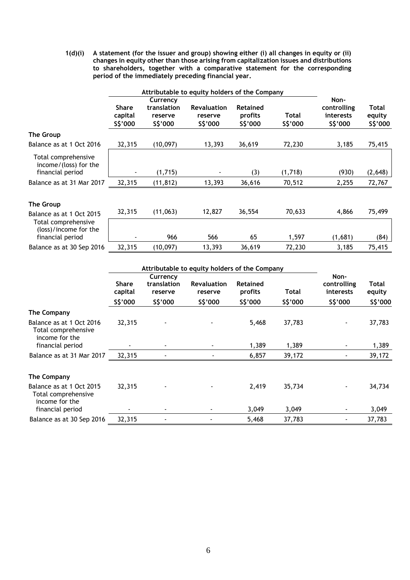**1(d)(i) A statement (for the issuer and group) showing either (i) all changes in equity or (ii) changes in equity other than those arising from capitalization issues and distributions to shareholders, together with a comparative statement for the corresponding period of the immediately preceding financial year.** 

|                                                                    | Attributable to equity holders of the Company |                                                |                                           |                                        |                   |                                              |                             |
|--------------------------------------------------------------------|-----------------------------------------------|------------------------------------------------|-------------------------------------------|----------------------------------------|-------------------|----------------------------------------------|-----------------------------|
|                                                                    | <b>Share</b><br>capital<br>\$\$'000           | Currency<br>translation<br>reserve<br>\$\$'000 | <b>Revaluation</b><br>reserve<br>\$\$'000 | <b>Retained</b><br>profits<br>\$\$'000 | Total<br>\$\$'000 | Non-<br>controlling<br>interests<br>\$\$'000 | Total<br>equity<br>\$\$'000 |
| The Group                                                          |                                               |                                                |                                           |                                        |                   |                                              |                             |
| Balance as at 1 Oct 2016                                           | 32,315                                        | (10,097)                                       | 13,393                                    | 36,619                                 | 72,230            | 3,185                                        | 75,415                      |
| Total comprehensive<br>$income/(loss)$ for the<br>financial period |                                               | (1,715)                                        |                                           | (3)                                    | (1,718)           | (930)                                        | (2,648)                     |
| Balance as at 31 Mar 2017                                          | 32,315                                        | (11, 812)                                      | 13,393                                    | 36,616                                 | 70,512            | 2,255                                        | 72,767                      |
| The Group<br>Balance as at 1 Oct 2015                              | 32,315                                        | (11,063)                                       | 12,827                                    | 36,554                                 | 70,633            | 4,866                                        | 75,499                      |
| Total comprehensive<br>(loss)/income for the<br>financial period   |                                               | 966                                            | 566                                       | 65                                     | 1,597             | (1,681)                                      | (84)                        |
| Balance as at 30 Sep 2016                                          | 32,315                                        | (10,097)                                       | 13,393                                    | 36,619                                 | 72,230            | 3,185                                        | 75,415                      |

|                                                                   | Attributable to equity holders of the Company |                                    |                               |                            |         |                                  |                 |
|-------------------------------------------------------------------|-----------------------------------------------|------------------------------------|-------------------------------|----------------------------|---------|----------------------------------|-----------------|
|                                                                   | <b>Share</b><br>capital                       | Currency<br>translation<br>reserve | <b>Revaluation</b><br>reserve | <b>Retained</b><br>profits | Total   | Non-<br>controlling<br>interests | Total<br>equity |
|                                                                   | S\$'000                                       | S\$'000                            | \$\$'000                      | \$\$'000                   | S\$'000 | \$\$'000                         | \$\$'000        |
| <b>The Company</b>                                                |                                               |                                    |                               |                            |         |                                  |                 |
| Balance as at 1 Oct 2016<br>Total comprehensive<br>income for the | 32,315                                        |                                    |                               | 5,468                      | 37,783  |                                  | 37,783          |
| financial period                                                  |                                               |                                    |                               | 1,389                      | 1,389   |                                  | 1,389           |
| Balance as at 31 Mar 2017                                         | 32,315                                        |                                    |                               | 6,857                      | 39,172  |                                  | 39,172          |
|                                                                   |                                               |                                    |                               |                            |         |                                  |                 |
| <b>The Company</b>                                                |                                               |                                    |                               |                            |         |                                  |                 |
| Balance as at 1 Oct 2015<br>Total comprehensive<br>income for the | 32,315                                        |                                    |                               | 2,419                      | 35,734  |                                  | 34,734          |
| financial period                                                  |                                               | ۰                                  |                               | 3,049                      | 3,049   |                                  | 3,049           |
| Balance as at 30 Sep 2016                                         | 32,315                                        |                                    |                               | 5,468                      | 37,783  |                                  | 37,783          |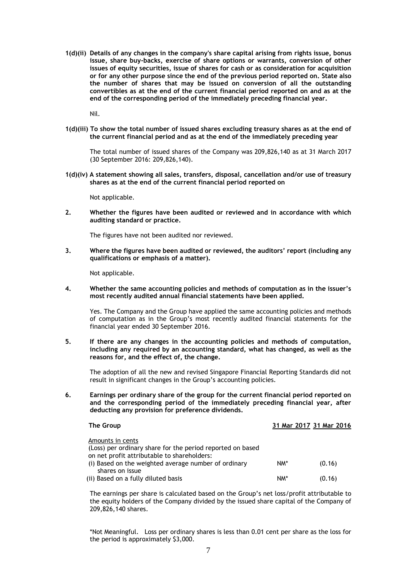**1(d)(ii) Details of any changes in the company's share capital arising from rights issue, bonus issue, share buy-backs, exercise of share options or warrants, conversion of other issues of equity securities, issue of shares for cash or as consideration for acquisition or for any other purpose since the end of the previous period reported on. State also the number of shares that may be issued on conversion of all the outstanding convertibles as at the end of the current financial period reported on and as at the end of the corresponding period of the immediately preceding financial year.** 

Nil.

**1(d)(iii) To show the total number of issued shares excluding treasury shares as at the end of the current financial period and as at the end of the immediately preceding year**

The total number of issued shares of the Company was 209,826,140 as at 31 March 2017 (30 September 2016: 209,826,140).

**1(d)(iv) A statement showing all sales, transfers, disposal, cancellation and/or use of treasury shares as at the end of the current financial period reported on**

Not applicable.

**2. Whether the figures have been audited or reviewed and in accordance with which auditing standard or practice.** 

The figures have not been audited nor reviewed.

**3. Where the figures have been audited or reviewed, the auditors' report (including any qualifications or emphasis of a matter).** 

Not applicable.

**4. Whether the same accounting policies and methods of computation as in the issuer's most recently audited annual financial statements have been applied.** 

Yes. The Company and the Group have applied the same accounting policies and methods of computation as in the Group's most recently audited financial statements for the financial year ended 30 September 2016.

**5. If there are any changes in the accounting policies and methods of computation, including any required by an accounting standard, what has changed, as well as the reasons for, and the effect of, the change.** 

The adoption of all the new and revised Singapore Financial Reporting Standards did not result in significant changes in the Group's accounting policies.

**6. Earnings per ordinary share of the group for the current financial period reported on and the corresponding period of the immediately preceding financial year, after deducting any provision for preference dividends.** 

| The Group                                                                                                                     |     | 31 Mar 2017 31 Mar 2016 |
|-------------------------------------------------------------------------------------------------------------------------------|-----|-------------------------|
| Amounts in cents<br>(Loss) per ordinary share for the period reported on based<br>on net profit attributable to shareholders: |     |                         |
| (i) Based on the weighted average number of ordinary<br>shares on issue                                                       | NM* | (0.16)                  |
| (ii) Based on a fully diluted basis                                                                                           | NM* | (0.16)                  |

The earnings per share is calculated based on the Group's net loss/profit attributable to the equity holders of the Company divided by the issued share capital of the Company of 209,826,140 shares.

\*Not Meaningful. Loss per ordinary shares is less than 0.01 cent per share as the loss for the period is approximately \$3,000.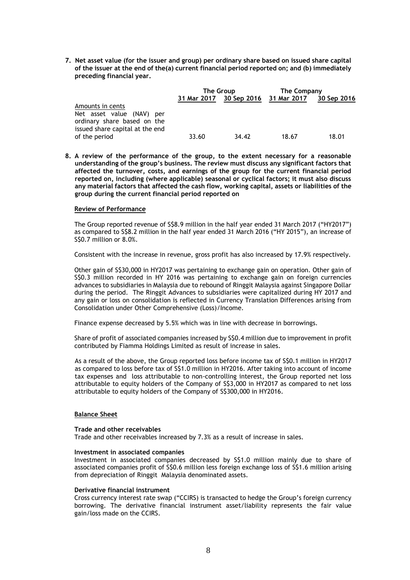**7. Net asset value (for the issuer and group) per ordinary share based on issued share capital of the issuer at the end of the(a) current financial period reported on; and (b) immediately preceding financial year.** 

|                                                                              | The Group   |                         | The Company |             |  |
|------------------------------------------------------------------------------|-------------|-------------------------|-------------|-------------|--|
|                                                                              | 31 Mar 2017 | 30 Sep 2016 31 Mar 2017 |             | 30 Sep 2016 |  |
| Amounts in cents<br>Net asset value (NAV) per<br>ordinary share based on the |             |                         |             |             |  |
| issued share capital at the end<br>of the period                             | 33.60       | 34.42                   | 18.67       | 18.01       |  |

**8. A review of the performance of the group, to the extent necessary for a reasonable understanding of the group's business. The review must discuss any significant factors that affected the turnover, costs, and earnings of the group for the current financial period reported on, including (where applicable) seasonal or cyclical factors; it must also discuss any material factors that affected the cash flow, working capital, assets or liabilities of the group during the current financial period reported on**

## **Review of Performance**

The Group reported revenue of S\$8.9 million in the half year ended 31 March 2017 ("HY2017") as compared to S\$8.2 million in the half year ended 31 March 2016 ("HY 2015"), an increase of S\$0.7 million or 8.0%.

Consistent with the increase in revenue, gross profit has also increased by 17.9% respectively.

Other gain of S\$30,000 in HY2017 was pertaining to exchange gain on operation. Other gain of S\$0.3 million recorded in HY 2016 was pertaining to exchange gain on foreign currencies advances to subsidiaries in Malaysia due to rebound of Ringgit Malaysia against Singapore Dollar during the period. The Ringgit Advances to subsidiaries were capitalized during HY 2017 and any gain or loss on consolidation is reflected in Currency Translation Differences arising from Consolidation under Other Comprehensive (Loss)/Income.

Finance expense decreased by 5.5% which was in line with decrease in borrowings.

Share of profit of associated companies increased by S\$0.4 million due to improvement in profit contributed by Fiamma Holdings Limited as result of increase in sales.

As a result of the above, the Group reported loss before income tax of S\$0.1 million in HY2017 as compared to loss before tax of S\$1.0 million in HY2016. After taking into account of income tax expenses and loss attributable to non-controlling interest, the Group reported net loss attributable to equity holders of the Company of S\$3,000 in HY2017 as compared to net loss attributable to equity holders of the Company of S\$300,000 in HY2016.

# **Balance Sheet**

## **Trade and other receivables**

Trade and other receivables increased by 7.3% as a result of increase in sales.

## **Investment in associated companies**

Investment in associated companies decreased by S\$1.0 million mainly due to share of associated companies profit of S\$0.6 million less foreign exchange loss of S\$1.6 million arising from depreciation of Ringgit Malaysia denominated assets.

## **Derivative financial instrument**

Cross currency interest rate swap ("CCIRS) is transacted to hedge the Group's foreign currency borrowing. The derivative financial instrument asset/liability represents the fair value gain/loss made on the CCIRS.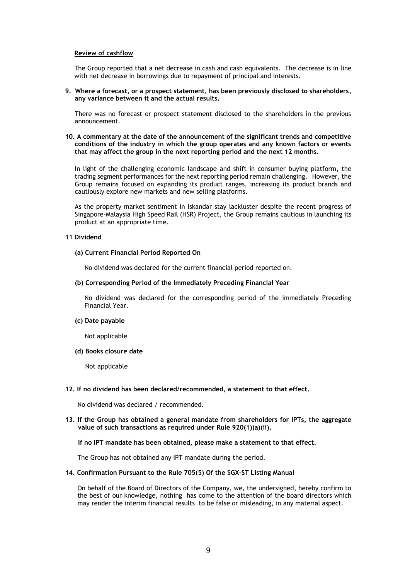## **Review of cashflow**

The Group reported that a net decrease in cash and cash equivalents. The decrease is in line with net decrease in borrowings due to repayment of principal and interests.

**9. Where a forecast, or a prospect statement, has been previously disclosed to shareholders, any variance between it and the actual results.** 

There was no forecast or prospect statement disclosed to the shareholders in the previous announcement.

**10. A commentary at the date of the announcement of the significant trends and competitive conditions of the industry in which the group operates and any known factors or events that may affect the group in the next reporting period and the next 12 months.** 

In light of the challenging economic landscape and shift in consumer buying platform, the trading segment performances for the next reporting period remain challenging. However, the Group remains focused on expanding its product ranges, increasing its product brands and cautiously explore new markets and new selling platforms.

As the property market sentiment in Iskandar stay lackluster despite the recent progress of Singapore-Malaysia High Speed Rail (HSR) Project, the Group remains cautious in launching its product at an appropriate time.

# **11 Dividend**

## **(a) Current Financial Period Reported On**

No dividend was declared for the current financial period reported on.

**(b) Corresponding Period of the Immediately Preceding Financial Year**

No dividend was declared for the corresponding period of the immediately Preceding Financial Year.

## **(c) Date payable**

Not applicable

**(d) Books closure date**

Not applicable

## **12. If no dividend has been declared/recommended, a statement to that effect.**

No dividend was declared / recommended.

**13. If the Group has obtained a general mandate from shareholders for IPTs, the aggregate value of such transactions as required under Rule 920(1)(a)(ii).** 

## **If no IPT mandate has been obtained, please make a statement to that effect.**

The Group has not obtained any IPT mandate during the period.

## **14. Confirmation Pursuant to the Rule 705(5) Of the SGX-ST Listing Manual**

On behalf of the Board of Directors of the Company, we, the undersigned, hereby confirm to the best of our knowledge, nothing has come to the attention of the board directors which may render the interim financial results to be false or misleading, in any material aspect.